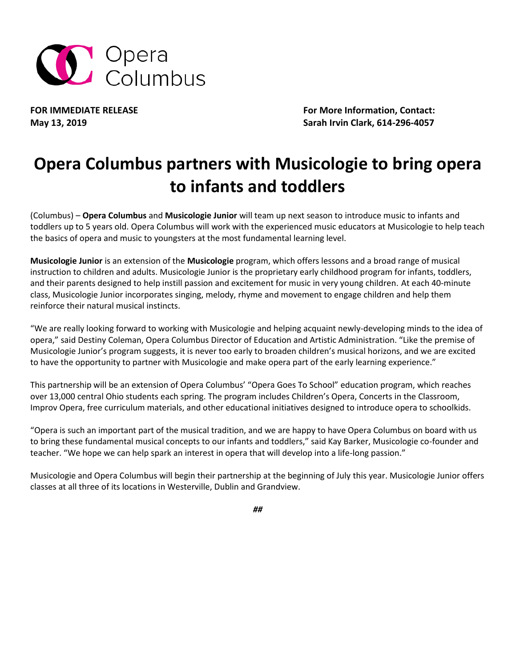

FOR IMMEDIATE RELEASE **FOR IMMEDIATE RELEASE For More Information, Contact: May 13, 2019 Sarah Irvin Clark, 614-296-4057**

## **Opera Columbus partners with Musicologie to bring opera to infants and toddlers**

(Columbus) – **Opera Columbus** and **Musicologie Junior** will team up next season to introduce music to infants and toddlers up to 5 years old. Opera Columbus will work with the experienced music educators at Musicologie to help teach the basics of opera and music to youngsters at the most fundamental learning level.

**Musicologie Junior** is an extension of the **Musicologie** program, which offers lessons and a broad range of musical instruction to children and adults. Musicologie Junior is the proprietary early childhood program for infants, toddlers, and their parents designed to help instill passion and excitement for music in very young children. At each 40-minute class, Musicologie Junior incorporates singing, melody, rhyme and movement to engage children and help them reinforce their natural musical instincts.

"We are really looking forward to working with Musicologie and helping acquaint newly-developing minds to the idea of opera," said Destiny Coleman, Opera Columbus Director of Education and Artistic Administration. "Like the premise of Musicologie Junior's program suggests, it is never too early to broaden children's musical horizons, and we are excited to have the opportunity to partner with Musicologie and make opera part of the early learning experience."

This partnership will be an extension of Opera Columbus' "Opera Goes To School" education program, which reaches over 13,000 central Ohio students each spring. The program includes Children's Opera, Concerts in the Classroom, Improv Opera, free curriculum materials, and other educational initiatives designed to introduce opera to schoolkids.

"Opera is such an important part of the musical tradition, and we are happy to have Opera Columbus on board with us to bring these fundamental musical concepts to our infants and toddlers," said Kay Barker, Musicologie co-founder and teacher. "We hope we can help spark an interest in opera that will develop into a life-long passion."

Musicologie and Opera Columbus will begin their partnership at the beginning of July this year. Musicologie Junior offers classes at all three of its locations in Westerville, Dublin and Grandview.

*##*